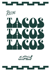



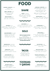# FOOD

GUACAMOLE + CORN CHIPS \$10 GF. V smashed avo, pico de gallo, lime

QUESO + CORN CHIPS \$8 GF, V hot melted cheese dip with mexican spices ADD CHORIZO \$2

**MEXICAN CORN RIBS \$12 V** fried corn rib quarters, arbol crema, ricotta salata **SHARE**

NACHOS\$17 GF, V, VO guac, cheese, pico de gallo, spring onion crema, black beans, pickled jalapenos, corn chips ADD CHORIZO \$4



### LARGE SALSA + CORN CHIPS \$6 GF, V

ROJA blended tomato, red chilli, onion, garlic, coriander  $-$  or  $-$ PICO DE GALLO chopped tomato, onion, coriander, lime  $-$  or  $-$ VERDE tomatillo, jalapeños, onion, garlic, avocado, coriander

### SEAFOOD CEVICHE \$14 GF, DF

cured octopus, tiger prawn & amberjack, pico de gallo, avocado, corn chips

#### FISH BURRITO \$19 N

battered fish, fennel slaw, cheese, pickled jalapeno, coriander pesto rice, chipotle mayo, flour tortilla

> CAULIFLOWER BURRITO\$16 V, N, VO battered cauliflower, cheese, guacamole, pico de gallo, coriander pesto rice, kale, salsa macha, flour tortilla

STEAK BURRITO \$18 N grilled steak, pico de gallo, cheese,

black beans ,coriander pesto rice, kale, habanero mayo, flour tortilla

## **SOLO**

**FRIES? HOT SAUCE? EXTRAS?**

ASK THE STAFF! TORTILLAS, PICKLED JALAPENOS - \$1 CHIPOTLE MAYO, SIDE SALSAS - \$3 ADD HABANEROS \$1 FRIES \$2 CHEESY FRIES \$4

**CHILDRENS MENU AVAILABLE**

#### LA BURGER ROYALE\$16

chuck and brisket beef, cheese, pickled jalapeno, chipotle mayo, lettuce, tomato, brioche bun

### TORTA DE ASADA \$19

AKA STEAK SANDWICH grilled steak, pico de gallo, fresh avo, cheese chicharron,pickled veg, refried beans, chipotle mayo, brioche bun

MUSHROOM TACOS\$10 GF, V, N, VO field mushroom, cashew cream, fried enoki, dill, ricotta salata

CARNITAS TACOS\$10 GF, DF confit pork, chicharron, pickled onion & habanero, coriander

CAULIFLOWER TACOS\$10 <sup>V</sup> fried cauliflower nuggets, salsa macha, roasted pepitas, ricotta salata, coriander



BEEF BIRRIA TOSTADA \$6 beef birria, refried beans, cheese chicharron, pickled onion & habanero, coriander



OUR AUTHENTIC TACOS ARE SERVED ON SOFT CORN NIXTAMAL TORTILLAS OUR TOSTADAS ARE HARD!



BAJA FISH TACOS \$12 DF battered fish, salted cabbage, chipotle mayo

TINGA DE POLLO TACOS\$10 GF braised chipotle chicken, lettuce, arbol crema, pico de gallo

PORK BELLY SHARE TACOS (6)\$35 GF pork belly, refried beans, salsa verde, pickled onion & habanero, coriander



CHICKEN QUESADILLA \$8 tinga de pollo, cheese, chilli, pickled onion, verde, coriander